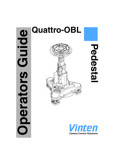# $\Omega$ **Operators Guide Oild** perators



**PedestalPedesta** 

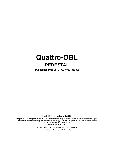# **Quattro-OBL PEDESTAL**

**Publication Part No. V4002-4980 Issue 2**

Copyright © Vinten Broadcast Limited 2006

All rights reserved throughout the world. No part of this document may be stored in a retrieval system. transmitted, copied or reproduced in any way including, but not limited to, photocopy, photograph, magnetic or other record without the prior agreement and permission in writing of Vinten Broadcast Limited.

> Vinten is a registered trademark of Vinten Broadcast Limited. Printed in Great Britain by DPS Newmarket.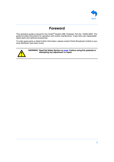

# **Foreword**

This operators guide is issued for the Vinten® Quattro-OBL Pedestal, Part No. V4002-0002. The guide provides instructions for operation and routine maintenance. It also lists user-replaceable spare parts and optional accessories.

To order spare parts or obtain further information, please contact Vinten Broadcast Limited or your local distributor (see back cover).



**WARNING! Read the Safety Section on [page 4](#page-3-0) before using this pedestal or attempting any adjustment or repair.**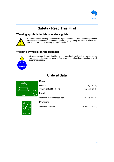

# **Safety - Read This First**

#### <span id="page-3-0"></span>**Warning symbols in this operators guide**



Where there is a risk of personal injury, injury to others, or damage to the pedestal or associated equipment, comments appear, highlighted by the word **WARNING!** and supported by the warning triangle symbol.

#### **Warning symbols on the pedestal**



On encountering the warning triangle and open book symbols it is imperative that you consult this operators guide before using this pedestal or attempting any adjustment or repair.

# **Critical data**

<span id="page-3-1"></span>

| Pedestal                    | 117 kg (257 lb)  |
|-----------------------------|------------------|
| Trim weights (11 off) total | 7.5 kg (16.5 lb) |
| Load                        |                  |
| Maximum recommended load    | 105 kg (231 lb)  |
| <b>Pressure</b>             |                  |



Maximum pressure 16.3 bar (236 psi)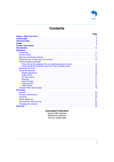

# **Contents**

|                                                                | Page |
|----------------------------------------------------------------|------|
|                                                                |      |
|                                                                |      |
|                                                                |      |
|                                                                |      |
|                                                                |      |
|                                                                |      |
| <b>Operation</b>                                               |      |
|                                                                |      |
|                                                                |      |
|                                                                |      |
|                                                                |      |
| Pressurizing the pedestal                                      |      |
| Pressurizing the pedestal from an external pressure source  14 |      |
|                                                                |      |
|                                                                |      |
|                                                                |      |
|                                                                |      |
|                                                                |      |
|                                                                |      |
|                                                                |      |
|                                                                |      |
|                                                                |      |
|                                                                |      |
|                                                                |      |
| <b>Servicing</b>                                               |      |
|                                                                |      |
|                                                                |      |
|                                                                |      |
|                                                                |      |
|                                                                |      |
|                                                                |      |
|                                                                |      |

#### **Associated Publication**

Quattro-OBL Pedestal Maintenance Manual Part No. V4002-4990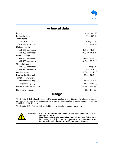

# **Technical data**

<span id="page-5-0"></span>

| Payload                               | 105 kg (231 lb)     |
|---------------------------------------|---------------------|
| Pedestal weight                       | 117 kg (257 lb)     |
| Trim weights                          |                     |
| main (5 x 1.0 kg)                     | 5.0 kg (11 lb)      |
| auxiliary $(6 \times 0.5 \text{ kg})$ | 3.0 kg (6.6 lb)     |
| Minimum height                        |                     |
| with 200 mm wheels                    | 49.8 cm (19.6 in.)  |
| with 160 mm wheels                    | 46.8 cm (18.4 in.)  |
| Maximum height                        |                     |
| with 200 mm wheels                    | 149.8 cm (59 in.)   |
| with 160 mm wheels                    | 146.8 cm (57.8 in.) |
| Ground clearance                      |                     |
| with 200 mm wheels                    | 5 cm (2 in.)        |
| with 160 mm wheels                    | 2 cm (0.8 in.)      |
| On-shot stroke                        | 100 cm (39.4 in.)   |
| Doorway tracking width                | 98 cm (38.5 in.)    |
| Transit doorway width                 |                     |
| Small steering ring                   | 87 cm (34.3 in.)    |
| Large steering ring                   | 91.3 cm (36 in.)    |
| <b>Maximum Working Pressure</b>       | 16.3 bar (236 psi)  |
| <b>Relief Valve Pressure</b>          | 18 bar (261 psi)    |

#### **Usage**

<span id="page-5-1"></span>The Quattro-OBL Pedestal is designed for use on location and in video and film studios to support and balance a pan and tilt head, camera and ancillary equipment up to a recommended maximum weight of 105 kg (231 lb).

The Quattro-OBL Pedestal is intended for use by television camera operators.



**WARNING! If you do not understand how to operate this pedestal, do not attempt to use it. Maintenance beyond that detailed in this Operators Guide must be performed only by competent personnel in accordance with** 

**the procedures laid down in the Maintenance Manual.**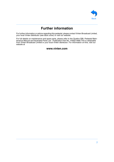

# **Further information**

<span id="page-6-0"></span>For further information or advice regarding this pedestal, please contact Vinten Broadcast Limited, your local Vinten distributor (see back cover) or visit our website.

For full details on maintenance and spare parts, please refer to the Quattro-OBL Pedestal Maintenance Manual and Illustrated Parts List - Publication Part No. V4002-4990.This is obtainable from Vinten Broadcast Limited or your local Vinten distributor. For information on-line, visit our website at

#### **www.vinten.com**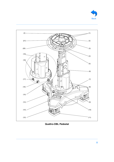<span id="page-7-10"></span><span id="page-7-9"></span><span id="page-7-8"></span><span id="page-7-7"></span><span id="page-7-6"></span><span id="page-7-5"></span><span id="page-7-4"></span><span id="page-7-3"></span><span id="page-7-2"></span><span id="page-7-1"></span><span id="page-7-0"></span>

<span id="page-7-20"></span><span id="page-7-19"></span><span id="page-7-18"></span><span id="page-7-17"></span><span id="page-7-16"></span><span id="page-7-15"></span><span id="page-7-14"></span><span id="page-7-13"></span><span id="page-7-12"></span><span id="page-7-11"></span>

**Quattro-OBL Pedestal**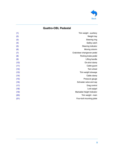

#### **Quattro-OBL Pedestal**

| (1)  | Trim weight - auxiliary     |
|------|-----------------------------|
| (2)  | Weight tray                 |
| (3)  | Steering ring               |
| (4)  | Safety catch                |
| (5)  | Steering indicator          |
| (6)  | Moving column               |
| (7)  | Crab/steer changeover pedal |
| (8)  | Parking brake pedal         |
| (9)  | Lifting handle              |
| (10) | On-shot clamp               |
| (11) | Cable guard                 |
| (12) | Twin wheel                  |
| (13) | Trim weight stowage         |
| (14) | Cable clamp                 |
| (15) | Pressure gauge              |
| (16) | Schrader valve and cap      |
| (17) | Drag control                |
| (18) | Lock spigot                 |
| (19) | Markable Height Indicator   |
| (20) | Trim weight - main          |
| (21) | Four-bolt mounting plate    |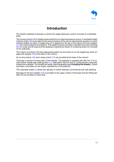

# **Introduction**

<span id="page-9-0"></span>The Quattro pedestal comprises a central four-stage telescopic column mounted in a steerable base.

The moving column  $(6)$  is initially pressurized from an external pressure source. A markable height indicator scale [\(19\)](#page-7-18) is provided on the second section of the column allowing the operator to record camera heights for shots. A weight tray  $(2)$  is attached to the top of the column and trim weights [\(1\)](#page-7-0), [\(20\)](#page-7-19) are provided for fine balance. The weight tray also provides a standard four-bolt mounting  $(21)$  for a pan and tilt head and the pedestal is steered by means of a steering wheel  $(3)$  mounted on its underside.

The column is locked in the fully-depressed position by two locks  $(4)$  on the weight tray which engage with spigots  $(18)$  at the base of the column.

An on-shot clamp [\(10\)](#page-7-9) and a drag control [\(17\)](#page-7-16) are provided at the base of the column.

The base is carried on three pairs of twin wheels. The pedestal is supplied with 200 mm (7.9 in.) solid rubber wheels with cable guards [\(11\).](#page-7-10) Alternative 160 mm (6.3 in.) solid polymer composite wheels are available. The wheels are easily interchangeable (see **Changing the wheels**). A parking brake is provided on one wheel, operated by a foot pedal  $(8)$ 

The crab/steer pedal [\(7\)](#page-7-6) allows the operator to switch between conventional and crab steering.

Stowage for the trim weights [\(13\)](#page-7-12) is provided on the upper surface of the base and two lifting handles  $(9)$  are provided on each face.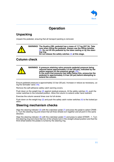

# **Operation**

# <span id="page-10-1"></span><span id="page-10-0"></span>**Unpacking**

Unpack the pedestal, ensuring that all transport packing is removed.



**WARNING! The Quattro-OBL pedestal has a mass of 117 kg (257 lb). Take care when lifting the pedestal. Always use the lifting handles**  [\(9\)](#page-7-8)**. Do not lift the pedestal by the base casting or by the steering ring. Do not release the safety catches** [\(4\)](#page-7-3) **at this stage.**

#### <span id="page-10-2"></span>**Column check**

| <b>7 è</b> |  | WARNING! A pressure retaining valve prevents pedestal pressure being<br>reduced below approximately 3.5 bar (50 psi), indicated by the<br>yellow segment on the pressure gauge (15).<br>In the event that pressure has fallen below this, pressurize the<br>pedestal to approximately 3.5 bar (50 psi) before attempting to<br>extend the column. |
|------------|--|---------------------------------------------------------------------------------------------------------------------------------------------------------------------------------------------------------------------------------------------------------------------------------------------------------------------------------------------------|
|------------|--|---------------------------------------------------------------------------------------------------------------------------------------------------------------------------------------------------------------------------------------------------------------------------------------------------------------------------------------------------|

Ensure pedestal pressure is approximately 3.5 bar (50 psi). Increase or reduce as necessary, using the Schrader valve [\(16\).](#page-7-15)

Remove the self-adhesive safety catch warning covers.

Push down on the weight tray [\(2\)](#page-7-1) against residual pressure. At the safety catches [\(4\),](#page-7-3) push the rocker switches to the unlocked position. Allow the column to extend under hand restraint.

Exercise the column several times over its full stroke.

Push down on the weight tray  $(2)$  and push the safety catch rocker switches  $(4)$  to the locked position.

#### <span id="page-10-3"></span>**Steering mechanism checks**

Align the steering indicator  $(5)$  with the crab/steer pedal  $(7)$  and press the pedal to select CRAB -3. Turn the steering ring and check that all three wheels turn together and all point in the same direction.

Align the steering indicator [\(5\)](#page-7-4) with the crab/steer pedal [\(7\)](#page-7-6) and press to select STEER - 1. Turn the steering ring and check that two of the wheels lock in the straight-ahead position and that the third wheel (below the pedal) is turned by the steering ring.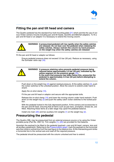

#### <span id="page-11-0"></span>**Fitting the pan and tilt head and camera**

The Quattro pedestal has the standard four-bolt mounting plate [\(21\)](#page-7-20) which permits the use of various Vinten camera mounts including pan and tilt heads, Quickfix and Mitchell adapters. To fit a pan and tilt head or an adaptor it is necessary to extend the moving column.



**WARNING! A pressurized pedestal will rise rapidly when the safety catches are released. Do not lean over the pedestal when releasing the safety catches. Always restrain the column by hand pressure on the weight tray when the safety catches are released**

Fit the pan and tilt head or adaptor as follows:

Ensure pedestal pressure does not exceed 3.5 bar (50 psi). Reduce as necessary, using the Schrader valve cap [\(16\)](#page-7-15).



Push down on the weight tray [\(2\)](#page-7-1) against residual pressure. At the safety catches [\(4\)](#page-7-3), push the rocker switches to the unlocked position. Allow the column to extend under hand restraint.

Apply the on-shot clamp [\(10\)](#page-7-9).

Fit the pan and tilt head or adaptor and secure with the appropriate bolts.

Release the on-shot clamp [\(10\)](#page-7-9) and lower the moving column under hand restraint. Push down on the weight tray  $(2)$  and push the safety catch rocker switches to the locked position.

With the pedestal locked in the fully depressed position, fit the camera and accessories to the pan and tilt head, ensuring that all items such as pan bars, prompters, lenses etc, are fitted. Attaching these items at a later stage may upset the pedestal balance.

Install one main  $(20)$  and two auxiliary trim weights  $(1)$  on the weight tray  $(2)$ .

#### <span id="page-11-1"></span>**Pressurizing the pedestal**

The Quattro-OBL may be pressurized from an external pressure source or by using the Vinten portable pump (Part No. 3357-3). Trim weights [\(1\)](#page-7-0), [\(20\)](#page-7-19) are provided for fine balance.

Ascertain the payload to be fitted to the pedestal (payload = pan and tilt head, camera, lens and all ancillary equipment). Referring to the [Pressurization graph](#page-12-0), mark the payload on the horizontal axis then strike a vertical line from the load figure to the balance line. At the intersecting point strike a horizontal line to the vertical axis and read off the required pressure.

The pedestal should be pressurized with the column unlocked and free to extend.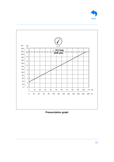



<span id="page-12-0"></span>**Pressurization graph**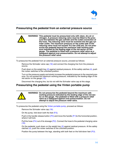

#### <span id="page-13-0"></span>**Pressurizing the pedestal from an external pressure source**

**WARNING! This pedestal must be pressurized only with clean, dry air or nitrogen. A pressure reducing valve must be fitted to the pressure line between the gas cylinder and the outlet connection of the hose. The reducing valve must be screwed into the gas cylinder outlet. The maximum pressure on the outlet side of the reducing valve must not exceed 16.3 bar (236 psi). Do not pressurize the pedestal beyond the maximum safe working pressure indicated by the leading edge of the red sector on the gauge. The pedestal is fitted with a pressure relief valve as a safeguard against over-pressurization. Do not attempt to adjust the pressure relief valve.**

To pressurize the pedestal from an external pressure source, proceed as follows:

Remove the Schrader valve cap [\(16\)](#page-7-15) and connect the charging line from the pressure source.

Push down on the weight tray [\(2\)](#page-7-1) against residual pressure. At the safety catches [\(4\)](#page-7-3), push the rocker switches to the unlocked position.

Turn on the pressure supply and slowly increase the pedestal pressure to the required pressure. Do not exceed the maximum working pressure, indicated by the leading edge of the red sector on the gauge [\(15\)](#page-7-14).

Disconnect the charging line, but do not refit the Schrader valve cap at this stage.

#### <span id="page-13-1"></span>**Pressurizing the pedestal using the Vinten portable pump**



**WARNING! Do not pressurize the pedestal beyond the maximum safe working pressure indicated by the leading edge of the red sector on the gauge. The pedestal is fitted with a pressure relief valve as a safeguard against over-pressurization. Do not attempt to adjust the pressure relief valve.**

To pressurize the pedestal using the [Vinten portable pump](#page-14-5), proceed as follows:

Remove the Schrader valve cap [\(16\)](#page-7-15).

On the pump, fold down both the feet [\(P.3\)](#page-14-2).

Push in the handle release button  $(P.5)$  and move the handle  $(P.1)$  to the horizontal position, where it will lock.

Pull the hose [\(P.4\)](#page-14-3) out of its stowage [\(P.2\).](#page-14-1) Connect the hose to the pedestal charging valve [\(16\)](#page-7-15).

On the pedestal, push down on the weight tray  $(2)$  against residual pressure. At the safety catches [\(4\),](#page-7-3) push the rocker switches to the unlocked position.

Position the pump between the legs, standing with both feet on the fold-down feet [\(P.3\)](#page-14-2).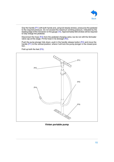<span id="page-14-0"></span>

Grip the handle [\(P.1\)](#page-14-0) with both hands and, using full steady strokes, pressurize the pedestal to the required pressure. Do not exceed the maximum working pressure, indicated by the leading edge of the red sector on the gauge [\(15\).](#page-7-14) Approximately 600 strokes will be required to fully charge the pedestal.

Disconnect the hose [\(P.4\)](#page-14-3) from the pedestal charging valve, but do not refit the Schrader valve cap at this stage. Fit the hose in its stowage [\(P.2\).](#page-14-1)

Push the pump plunger fully down, push in the handle release button [\(P.5\)](#page-14-4) and move the handle [\(P.1\)](#page-14-0) to the vertical position, where it will lock the pump plunger in the closed position.

<span id="page-14-4"></span>Fold up both the feet [\(P.3\).](#page-14-2)



<span id="page-14-5"></span><span id="page-14-3"></span><span id="page-14-2"></span><span id="page-14-1"></span>**Vinten portable pump**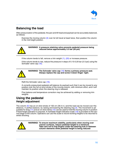

# <span id="page-15-0"></span>**Balancing the load**

After pressurization of the pedestal, the pan and tilt head and payload can be accurately balanced, as follows:

Exercise the moving column [\(6\)](#page-7-5) over its full travel at least twice, then position the column in the mid-height position.



**WARNING! A pressure retaining valve prevents pedestal pressure being reduced below approximately 3.5 bar (50 psi)**

If the column tends to fall, remove a trim weight  $(1)$ ,  $(20)$  or increase pressure.

If the column tends to rise, reduce the pressure in steps of 0.15-0.20 bar (2-3 psi) using the Schrader valve cap [\(16\)](#page-7-15).



**WARNING! The Schrader valve cap** [\(16\)](#page-7-15) **forms a primary pressure seal. Always replace the cap and screw it down finger- tight.**

Refit the Schrader valve cap [\(16\)](#page-7-15).

A correctly pressurized pedestal will balance its payload such that it can be moved to any position over the full on-shot stroke of the moving column, with minimum effort, and it will maintain its position when the steering ring is released.

Fine balance and temperature correction may be achieved by adding or removing trim weights.

#### <span id="page-15-2"></span><span id="page-15-1"></span>**Using the pedestal Height adjustment**

The column  $(6)$  has an on-shot stroke of 100 cm (39.4 in.) and the load can be moved over this distance, in perfect balance, by raising and lowering the steering ring [\(3\).](#page-7-2) The movement is ad-justable for drag [\(17\)](#page-7-16) and an on-shot clamp [\(10\)](#page-7-9) can be used to hold the moving column in position if fixed height operation is required. A markable height indication scale [\(19\)](#page-7-18) is provided on the second stage of the column. Operators can use this scale to record working heights to be returned to whilst shooting.



**WARNING! To ensure maximum stability, particularly when moving over uneven surfaces, reduce pedestal height to a minimum. Take care not to trap fingers under the steering hub or between column elements while pedestal height is being reduced**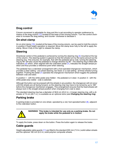

#### <span id="page-16-0"></span>**Drag control**

Column movement is adjustable for drag and this is set according to operator preference by means of the drag control [\(17\)](#page-7-16) located at the base of the moving column. Turn the control clockwise to increase the drag setting, and counter- clockwise to decease it.

#### <span id="page-16-1"></span>**On-shot clamp**

An on-shot clamp [\(10\)](#page-7-9), located at the base of the moving column, can be used to hold the column in position if fixed height operation is required. Move the clamp lever fully to the left to apply the clamp. Move it fully to the right to release the clamp.

#### <span id="page-16-2"></span>**Steering**

Directional control of the pedestal is achieved by turning the steering ring [\(3\)](#page-7-2) mounted at the top of the column. The steering system is geared so that the wheels turn by the same amount as the steering ring. This ensures, for example, that with the pedestal set to crab, turning the steering ring by 90° will also cause the pedestal to change direction by 90°. The steering ring is fitted with indicators  $(5)$  which, when aligned with the crab/steer pedal  $(7)$ , indicates the straight-ahead position and thus provides a reference point when steering.

The pedestal has a crab/steer arrangement with a foot-operated changeover mechanism, which provides a steer setting - one wheel steering, two fixed; or a crab setting - all three wheels turning together. Pushing the pedal [\(7\)](#page-7-6) operates the changeover mechanism which toggles the pedestal between crab and steer.

In position 1 - with the white pedal area hidden - the pedestal is in steer. In position 3 - with the white pedal area visible - crab is selected.

Although the button can be pressed with the wheels in any position, the changeover will not occur until the wheels are all facing forward, so the steering ring may have to be turned by up to 180° before the changeover mechanism engages. This arrangement ensures that the fixed wheels will always lock in the straight-ahead position when changing from crab to steer.

The standard steering ring has a diameter of 58,9 cm (23.2 in.). A larger steering ring, with a diameter of 74 cm (29.1 in.), is available as an optional extra (see **Changing the steering ring**).

#### <span id="page-16-3"></span>**Parking brake**

A parking brake is provided on one wheel, operated by a red, foot-operated button  $(8)$ , adjacent to the crab/steer button.



**WARNING! This brake is intended for use only as a parking brake. Do not apply the brake while the pedestal is in motion.**

To apply the brake, press down on the button. Press the button again to release the brake.

#### <span id="page-16-4"></span>**Cable guards**

Height-adjustable cable guards [\(11\)](#page-7-10) are fitted to the standard 200 mm (7.9 in.) solid rubber wheels and the optional 160 mm (6.3 in.) solid polymer composite wheels.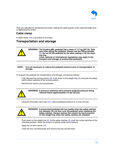

They are adjusted by slackening the knobs, setting the cable guards at the required height and re-tightening the knobs.

#### <span id="page-17-0"></span>**Cable clamp**

A cable clamp [\(14\)](#page-7-13) is provided on the base.

#### <span id="page-17-1"></span>**Transportation and storage**

**WARNING! The Quattro-OBL pedestal has a mass of 117 kg (257 lb). Take care when lifting the pedestal. Always use the lifting handles**  [\(9\)](#page-7-8)**. Do not lift the pedestal by the base casting or by the steering ring. Local, national or international regulations may apply to the transport and storage of pressurized pedestals.**

#### **NOTE: It is not necessary to reduce the pedestal pressure prior to transportation or storage.**

To prepare the pedestal for transportation and storage, proceed as follows:

Fully depress the moving column  $(6)$ . Push down on the weight tray  $(2)$  and push the safety catch rocker switches to the locked position.

Remove the camera and accessories.



**WARNING! A pressure retaining valve prevents pedestal pressure being reduced below approximately 3.5 bar (50 psi)**

Using the Schrader valve cap [\(16\)](#page-7-15), reduce pedestal pressure to 3.5 bar (50 psi).



**WARNING! A pressurized pedestal will rise rapidly when the safety catches are released. Do not lean over the pedestal when releasing the safety catches. Always restrain the column by hand pressure on the weight tray when the safety catches are released.**

Push down on the weight tray  $(2)$ . At the safety catches  $(4)$ , push the rocker switches to the unlocked position. Allow the column to extend under hand restraint.

Apply the on-shot clamp [\(10\)](#page-7-9).

Undo the four mounting bolts and remove the pan and tilt head.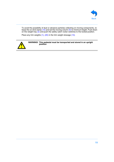

To avoid the possibility of dust or abrasive particles collecting on moving components, re-lease the on-shot clamp [\(10\)](#page-7-9) and set the moving column [\(6\)](#page-7-5) to minimum height. Push down on the weight tray  $(2)$  and push the safety catch rocker switches to the locked position.

Place any trim weights [\(1\)](#page-7-0), [\(20\)](#page-7-19) in the trim weight stowage [\(13\)](#page-7-12).



**WARNING! This pedestal must be transported and stored in an upright position**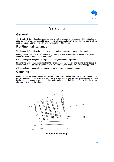

# **Servicing**

### <span id="page-19-1"></span><span id="page-19-0"></span>**General**

The Quattro-OBL pedestal is robustly made to high engineering standards and little attention is required to maintain serviceability save regular cleaning. Attention to the following points will ensure a long and useful service life with minimum need for repair.

#### <span id="page-19-2"></span>**Routine maintenance**

The Quattro-OBL pedestal requires no routine maintenance other than regular cleaning.

During normal use, check the steering alignment, the effectiveness of the on-shot clamp and check for radial or side play in the moving column.

If the steering is misaligned, re-align the wheels (see **Wheel alignment**).

Refer to the appropriate section in the Maintenance Manual if the on-shot clamp is ineffective, excessive radial or side play is apparent in the moving column, or any other defect is apparent.

Adjustments and repairs should be carried out only by a competent person.

# <span id="page-19-3"></span>**Cleaning**

During studio use, the only cleaning required should be a regular wipe over with a lint-free cloth. Dirt accumulated during storage or periods of disuse may be removed with a semi-stiff brush. Particular attention should be paid to the flats on the column, the drain holes [\(13.1\)](#page-19-5) in the trim weight stowage  $(13)$  and to the wheels.



<span id="page-19-5"></span><span id="page-19-4"></span>**Trim weight stowage**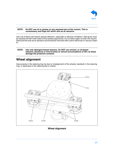

#### **NOTE: Do NOT use oil or grease on any exposed part of the column. This is unnecessary and traps dirt which acts as an abrasive.**

Use out-of-doors will require special attention, especially in adverse conditions. Salt spray must be washed off with fresh water at the earliest opportunity. Do not allow water to enter the column. Sand and dirt acts as an abrasive and should be removed with a semi-stiff brush or vacuum cleaner.

#### **NOTE: Use only detergent-based cleaners. Do NOT use solvent- or oil-based cleaners, abrasives or wire brushes to remove accumulations of dirt, as these damage the protective surfaces**

# <span id="page-20-0"></span>**Wheel alignment**

Inaccuracies in the steering may be due to misalignment of the wheels, backlash in the steering ring, or slackness in the steering belt or chains,



<span id="page-20-4"></span><span id="page-20-3"></span><span id="page-20-2"></span><span id="page-20-1"></span>**Wheel alignment**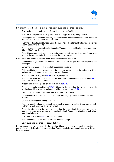

If misalignment of the wheels is suspected, carry out a tracking check, as follows:

Draw a straight line on the studio floor at least 4 m (13 feet) long.

Ensure that the pedestal is carrying a payload of approximately 90 kg (200 lb)

Set the pedestal to crab and carefully align the wheels under the crab knob and one of the front wheels with the line on the studio floor.

Push the pedestal 3.6 m (12 feet) along the line. The pedestal should not deviate more than 50 mm (2 in.) from the line.

Push the pedestal back to the starting point. The pedestal should not deviate more than 50 mm (2 in.) from the line.

Reposition the pedestal to align the wheels under the crab knob and the other front wheels with the line on the studio floor and repeat the above check.

If the deviation exceeds the above limits, re-align the wheels as follows:

Remove any payload from the pedestal. Remove all trim weights from the weight tray and stowages.

Lower the column and lock in the fully depressed position.

With the aid of a second person, invert the pedestal and stand it on the weight tray. Use a suitable material under the pedestal to prevent damage.

Adjust all three cable guards [\(11\)](#page-20-1) to their highest position.

Select STEER and turn the wheels until the two wheels furthest from the clutch wheel [\(12.1\)](#page-20-2) lock in the straight-ahead position.

At each axle mounting, slacken the lock screws [\(12.2\).](#page-20-3)

Push a substantial straight edge [\(12.3\)](#page-20-4) (at least 1 m long) against the tyres of the two pairs of wheels until the wheels are aligned. Tighten the lock screws [\(12.2\)](#page-20-3).

Select CRAB and turn the wheels until all wheels lock together.

Turn the wheels until the clutch wheel is approximately aligned with either of the other wheels.

Slacken the lock screw on the clutch wheel.

Push the straight edge against the tyres of the two pairs of wheels until they are aligned. Tighten the lock screw on the clutch wheel.

Check the alignment of the clutch wheel against the other wheel, then recheck the alignment of the two wheels furthest from the clutch wheel. Repeat the adjustment until alignment is satisfactory.

Ensure all lock screws [\(12.2\)](#page-20-3) are fully tightened.

With the aid of a second person, turn the pedestal upright.

Carry out a tracking check as detailed above.

If problems are still experienced with the steering, it is probably due to backlash in the steering ring, or slackness in the steering belt or chains. Please refer to the appropriate section in the Maintenance Manual.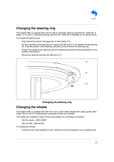<span id="page-22-3"></span>

#### <span id="page-22-0"></span>**Changing the steering ring**

The Quattro-OBL is supplied with a 59 cm (23 in.) diameter steering ring (Part No. 3429-42). A larger, 74 cm (29 in.) diameter steering ring (Part No. 3429-43) is available as an optional extra.

To change the steering ring:

Fully extend the column and apply the on-shot clamp [\(10\).](#page-7-9)

On the underside of the steering hub, remove four M8 nuts [\(3.1\)](#page-22-4) to release the steering ring [\(3\).](#page-22-2) Note the position of the steering indicators [\(5\)](#page-22-3) and remove the steering ring.

Position the replacement steering ring on the steering hub with the steering indicator in the position noted above.

Secure the steering ring with four M8 nuts [\(3.1\).](#page-22-4)



#### <span id="page-22-4"></span><span id="page-22-2"></span>**Changing the steering ring**

#### <span id="page-22-1"></span>**Changing the wheels**

The Quattro-OBL is supplied with 200 mm (7.9 in.) solid rubber wheels with cable guards. Alternative 160 mm (6.3 in.) solid polymer composite wheels are available.

The wheels are available in sets of three (one braked, two unbraked), as follows:

160 mm studio - 3502-910SP

200 mm OB - 3502-901SP

To change the wheels:

At each corner of the pedestal in turn, raise the corner and support it on a suitable block.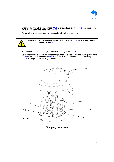<span id="page-23-0"></span>

Unscrew the two cable guard knobs [\(11.1\)](#page-23-3) until the clamp sleeves [\(11.2\)](#page-23-4) are clear of the cut-outs in the axle mounting block  $(12.4)$ .

Remove the wheel assembly [\(12\),](#page-23-2) complete with cable guard [\(11\).](#page-7-10)



**WARNING! Ensure braked wheel (with brake bar** [\(12.5\)](#page-23-6)**) is installed below brake pedal** [\(8\)](#page-23-0)**.**

Refit the wheel assembly [\(12\)](#page-23-2) on the axle mounting block [\(12.4\).](#page-23-5)

Set the cable guard [\(11\)](#page-23-1) to the correct height, then screw down the two cable guard knobs  $(11.1)$  so that the clamp sleeves  $(11.2)$  engage in the cut-outs in the axle mounting block [\(12.4\)](#page-23-5). Fully tighten the cable guard knobs.



<span id="page-23-6"></span><span id="page-23-5"></span><span id="page-23-4"></span><span id="page-23-3"></span><span id="page-23-2"></span><span id="page-23-1"></span>**Changing the wheels**